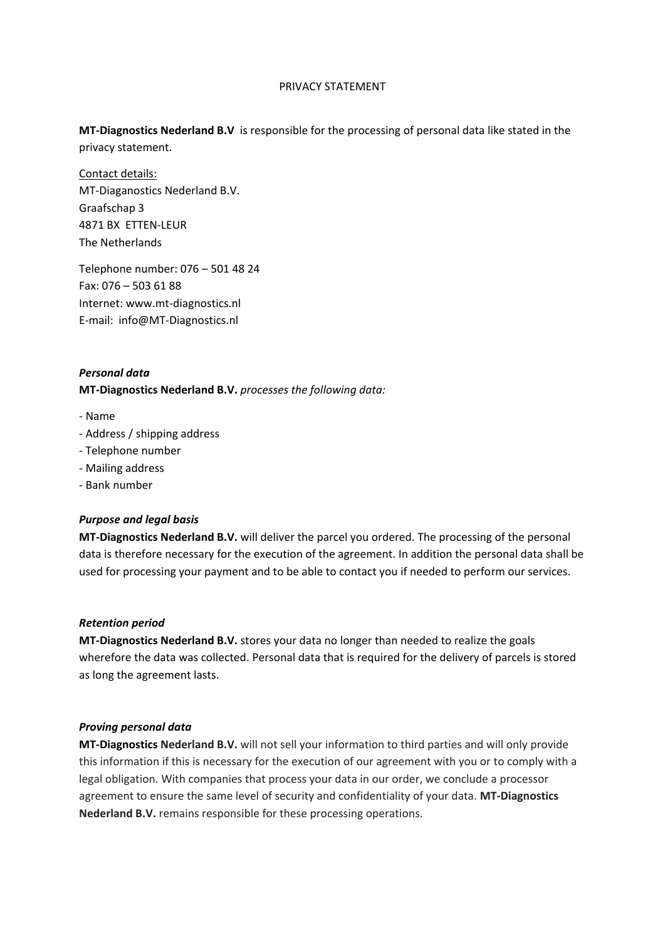# PRIVACY STATEMENT

**MT-Diagnostics Nederland B.V** is responsible for the processing of personal data like stated in the privacy statement.

Contact details: MT-Diaganostics Nederland B.V. Graafschap 3 4871 BX ETTEN-LEUR The Netherlands

Telephone number: 076 – 501 48 24 Fax: 076 – 503 61 88 Internet: www.mt-diagnostics.nl E-mail: info@MT-Diagnostics.nl

# *Personal data*

**MT-Diagnostics Nederland B.V.** *processes the following data:*

- Name
- Address / shipping address
- Telephone number
- Mailing address
- Bank number

#### *Purpose and legal basis*

**MT-Diagnostics Nederland B.V.** will deliver the parcel you ordered. The processing of the personal data is therefore necessary for the execution of the agreement. In addition the personal data shall be used for processing your payment and to be able to contact you if needed to perform our services.

#### *Retention period*

**MT-Diagnostics Nederland B.V.** stores your data no longer than needed to realize the goals wherefore the data was collected. Personal data that is required for the delivery of parcels is stored as long the agreement lasts.

### *Proving personal data*

**MT-Diagnostics Nederland B.V.** will not sell your information to third parties and will only provide this information if this is necessary for the execution of our agreement with you or to comply with a legal obligation. With companies that process your data in our order, we conclude a processor agreement to ensure the same level of security and confidentiality of your data. **MT-Diagnostics Nederland B.V.** remains responsible for these processing operations.